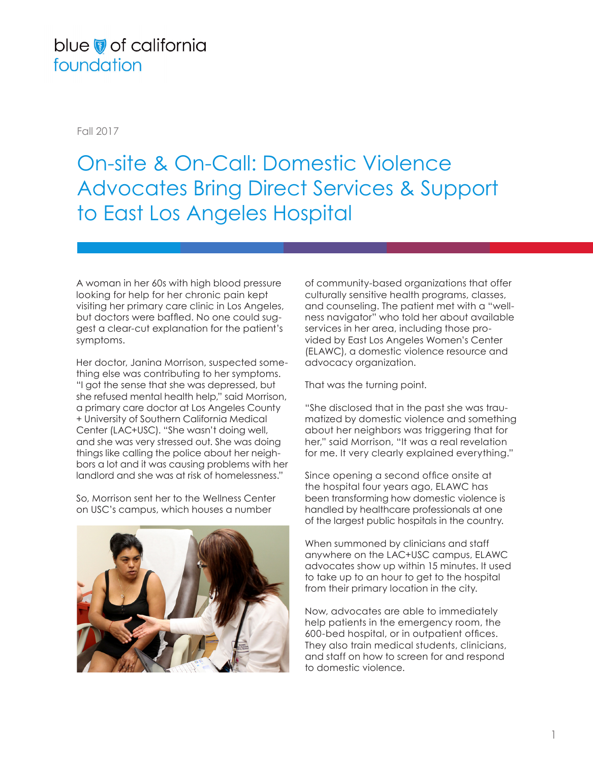## blue of california foundation

Fall 2017

## On-site & On-Call: Domestic Violence Advocates Bring Direct Services & Support to East Los Angeles Hospital

A woman in her 60s with high blood pressure looking for help for her chronic pain kept visiting her primary care clinic in Los Angeles, but doctors were baffled. No one could suggest a clear-cut explanation for the patient's symptoms.

Her doctor, Janina Morrison, suspected something else was contributing to her symptoms. "I got the sense that she was depressed, but she refused mental health help," said Morrison, a primary care doctor at Los Angeles County + University of Southern California Medical Center (LAC+USC). "She wasn't doing well, and she was very stressed out. She was doing things like calling the police about her neighbors a lot and it was causing problems with her landlord and she was at risk of homelessness."

So, Morrison sent her to the Wellness Center on USC's campus, which houses a number



of community-based organizations that offer culturally sensitive health programs, classes, and counseling. The patient met with a "wellness navigator" who told her about available services in her area, including those provided by East Los Angeles Women's Center (ELAWC), a domestic violence resource and advocacy organization.

That was the turning point.

"She disclosed that in the past she was traumatized by domestic violence and something about her neighbors was triggering that for her," said Morrison, "It was a real revelation for me. It very clearly explained everything."

Since opening a second office onsite at the hospital four years ago, ELAWC has been transforming how domestic violence is handled by healthcare professionals at one of the largest public hospitals in the country.

When summoned by clinicians and staff anywhere on the LAC+USC campus, ELAWC advocates show up within 15 minutes. It used to take up to an hour to get to the hospital from their primary location in the city.

Now, advocates are able to immediately help patients in the emergency room, the 600-bed hospital, or in outpatient offices. They also train medical students, clinicians, and staff on how to screen for and respond to domestic violence.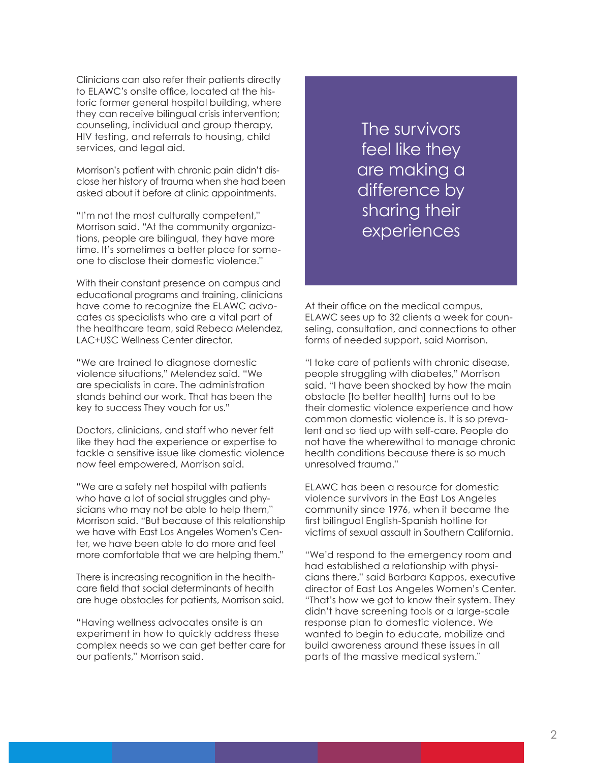Clinicians can also refer their patients directly to ELAWC's onsite office, located at the historic former general hospital building, where they can receive bilingual crisis intervention; counseling, individual and group therapy, HIV testing, and referrals to housing, child services, and legal aid.

Morrison's patient with chronic pain didn't disclose her history of trauma when she had been asked about it before at clinic appointments.

"I'm not the most culturally competent," Morrison said. "At the community organizations, people are bilingual, they have more time. It's sometimes a better place for someone to disclose their domestic violence."

With their constant presence on campus and educational programs and training, clinicians have come to recognize the ELAWC advocates as specialists who are a vital part of the healthcare team, said Rebeca Melendez, LAC+USC Wellness Center director.

"We are trained to diagnose domestic violence situations," Melendez said. "We are specialists in care. The administration stands behind our work. That has been the key to success They vouch for us."

Doctors, clinicians, and staff who never felt like they had the experience or expertise to tackle a sensitive issue like domestic violence now feel empowered, Morrison said.

"We are a safety net hospital with patients who have a lot of social struggles and physicians who may not be able to help them," Morrison said. "But because of this relationship we have with East Los Angeles Women's Center, we have been able to do more and feel more comfortable that we are helping them."

There is increasing recognition in the healthcare field that social determinants of health are huge obstacles for patients, Morrison said.

"Having wellness advocates onsite is an experiment in how to quickly address these complex needs so we can get better care for our patients," Morrison said.

The survivors feel like they are making a difference by sharing their experiences

At their office on the medical campus, ELAWC sees up to 32 clients a week for counseling, consultation, and connections to other forms of needed support, said Morrison.

"I take care of patients with chronic disease, people struggling with diabetes," Morrison said. "I have been shocked by how the main obstacle [to better health] turns out to be their domestic violence experience and how common domestic violence is. It is so prevalent and so tied up with self-care. People do not have the wherewithal to manage chronic health conditions because there is so much unresolved trauma."

ELAWC has been a resource for domestic violence survivors in the East Los Angeles community since 1976, when it became the first bilingual English-Spanish hotline for victims of sexual assault in Southern California.

"We'd respond to the emergency room and had established a relationship with physicians there," said Barbara Kappos, executive director of East Los Angeles Women's Center. "That's how we got to know their system. They didn't have screening tools or a large-scale response plan to domestic violence. We wanted to begin to educate, mobilize and build awareness around these issues in all parts of the massive medical system."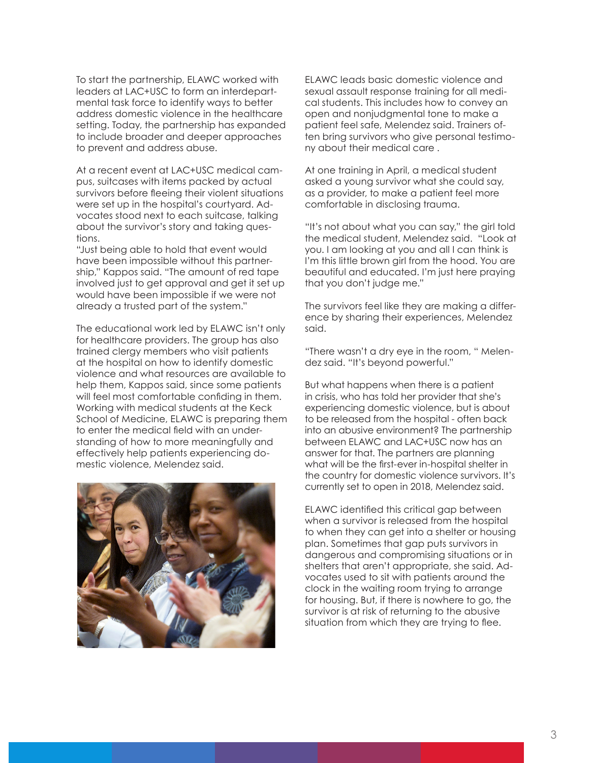To start the partnership, ELAWC worked with leaders at LAC+USC to form an interdepartmental task force to identify ways to better address domestic violence in the healthcare setting. Today, the partnership has expanded to include broader and deeper approaches to prevent and address abuse.

At a recent event at LAC+USC medical campus, suitcases with items packed by actual survivors before fleeing their violent situations were set up in the hospital's courtyard. Advocates stood next to each suitcase, talking about the survivor's story and taking questions.

"Just being able to hold that event would have been impossible without this partnership," Kappos said. "The amount of red tape involved just to get approval and get it set up would have been impossible if we were not already a trusted part of the system."

The educational work led by ELAWC isn't only for healthcare providers. The group has also trained clergy members who visit patients at the hospital on how to identify domestic violence and what resources are available to help them, Kappos said, since some patients will feel most comfortable confiding in them. Working with medical students at the Keck School of Medicine, ELAWC is preparing them to enter the medical field with an understanding of how to more meaningfully and effectively help patients experiencing domestic violence, Melendez said.



ELAWC leads basic domestic violence and sexual assault response training for all medical students. This includes how to convey an open and nonjudgmental tone to make a patient feel safe, Melendez said. Trainers often bring survivors who give personal testimony about their medical care .

At one training in April, a medical student asked a young survivor what she could say, as a provider, to make a patient feel more comfortable in disclosing trauma.

"It's not about what you can say," the girl told the medical student, Melendez said. "Look at you. I am looking at you and all I can think is I'm this little brown girl from the hood. You are beautiful and educated. I'm just here praying that you don't judge me."

The survivors feel like they are making a difference by sharing their experiences, Melendez said.

"There wasn't a dry eye in the room, " Melendez said. "It's beyond powerful."

But what happens when there is a patient in crisis, who has told her provider that she's experiencing domestic violence, but is about to be released from the hospital - often back into an abusive environment? The partnership between ELAWC and LAC+USC now has an answer for that. The partners are planning what will be the first-ever in-hospital shelter in the country for domestic violence survivors. It's currently set to open in 2018, Melendez said.

ELAWC identified this critical gap between when a survivor is released from the hospital to when they can get into a shelter or housing plan. Sometimes that gap puts survivors in dangerous and compromising situations or in shelters that aren't appropriate, she said. Advocates used to sit with patients around the clock in the waiting room trying to arrange for housing. But, if there is nowhere to go, the survivor is at risk of returning to the abusive situation from which they are trying to flee.